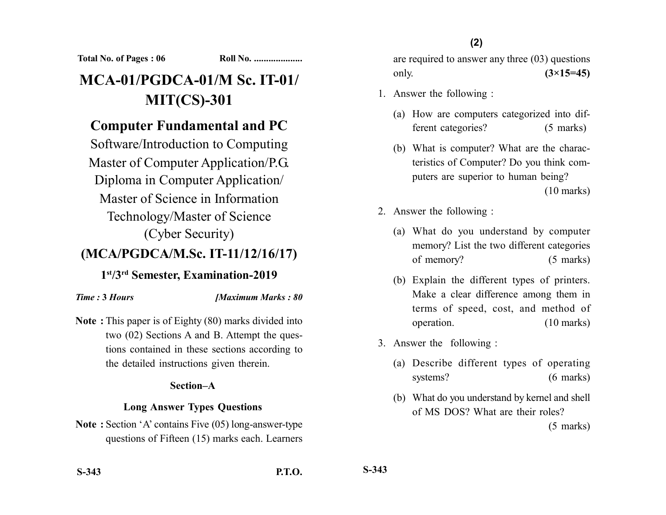**Total No. of Pages : 06 Roll No. ....................**

# **MCA-01/PGDCA-01/M Sc. IT-01/ MIT(CS)-301**

# **Computer Fundamental and PC**

Software/Introduction to Computing Master of Computer Application/P.G. Diploma in Computer Application/ Master of Science in Information Technology/Master of Science (Cyber Security)

## **(MCA/PGDCA/M.Sc. IT-11/12/16/17)**

### **1st/3rd Semester, Examination-2019**

#### *Time :* **3** *Hours [Maximum Marks : 80*

**Note :** This paper is of Eighty (80) marks divided into two (02) Sections A and B. Attempt the questions contained in these sections according to the detailed instructions given therein.

#### **Section–A**

#### **Long Answer Types Questions**

**Note :** Section 'A' contains Five (05) long-answer-type questions of Fifteen (15) marks each. Learners are required to answer any three (03) questions only. **(3×15=45)**

- 1. Answer the following :
	- (a) How are computers categorized into different categories? (5 marks)
	- (b) What is computer? What are the characteristics of Computer? Do you think computers are superior to human being? (10 marks)
- 2. Answer the following :
	- (a) What do you understand by computer memory? List the two different categories of memory? (5 marks)
	- (b) Explain the different types of printers. Make a clear difference among them in terms of speed, cost, and method of operation. (10 marks)
- 3. Answer the following :
	- (a) Describe different types of operating systems? (6 marks)
	- (b) What do you understand by kernel and shell of MS DOS? What are their roles?

(5 marks)

**S-343**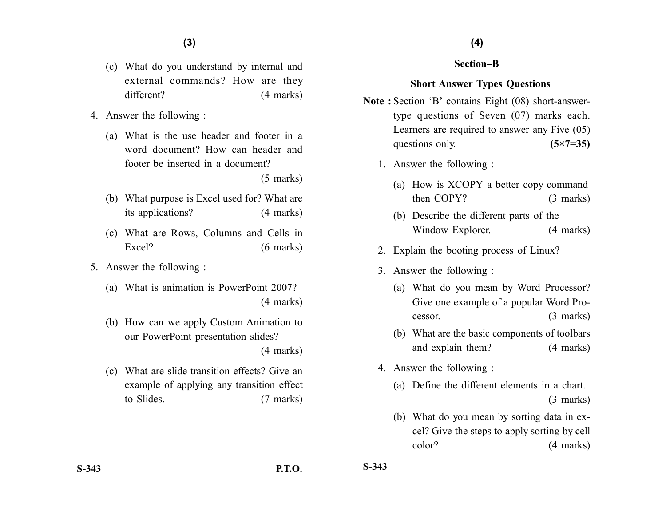- (c) What do you understand by internal and external commands? How are they different? (4 marks)
- 4. Answer the following :
	- (a) What is the use header and footer in a word document? How can header and footer be inserted in a document?

(5 marks)

- (b) What purpose is Excel used for? What are its applications? (4 marks)
- (c) What are Rows, Columns and Cells in Excel? (6 marks)
- 5. Answer the following :
	- (a) What is animation is PowerPoint 2007? (4 marks)
	- (b) How can we apply Custom Animation to our PowerPoint presentation slides?

(4 marks)

(c) What are slide transition effects? Give an example of applying any transition effect to Slides. (7 marks)

#### **Section–B**

#### **Short Answer Types Questions**

- **Note :** Section 'B' contains Eight (08) short-answertype questions of Seven (07) marks each. Learners are required to answer any Five (05) questions only. **(5×7=35)** 
	- 1. Answer the following :
		- (a) How is XCOPY a better copy command then COPY? (3 marks)
		- (b) Describe the different parts of the Window Explorer. (4 marks)
	- 2. Explain the booting process of Linux?
	- 3. Answer the following :
		- (a) What do you mean by Word Processor? Give one example of a popular Word Processor. (3 marks)
		- (b) What are the basic components of toolbars and explain them? (4 marks)
	- 4. Answer the following :
		- (a) Define the different elements in a chart. (3 marks)
		- (b) What do you mean by sorting data in excel? Give the steps to apply sorting by cell color? (4 marks)

**S-343 P.T.O. S-343**